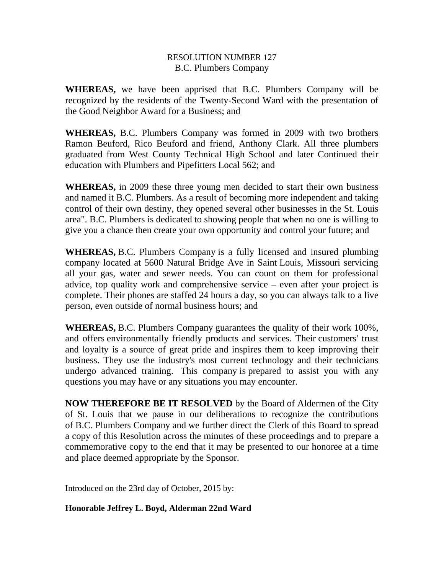## RESOLUTION NUMBER 127 B.C. Plumbers Company

**WHEREAS,** we have been apprised that B.C. Plumbers Company will be recognized by the residents of the Twenty-Second Ward with the presentation of the Good Neighbor Award for a Business; and

**WHEREAS,** B.C. Plumbers Company was formed in 2009 with two brothers Ramon Beuford, Rico Beuford and friend, Anthony Clark. All three plumbers graduated from West County Technical High School and later Continued their education with Plumbers and Pipefitters Local 562; and

**WHEREAS,** in 2009 these three young men decided to start their own business and named it B.C. Plumbers. As a result of becoming more independent and taking control of their own destiny, they opened several other businesses in the St. Louis area". B.C. Plumbers is dedicated to showing people that when no one is willing to give you a chance then create your own opportunity and control your future; and

**WHEREAS,** B.C. Plumbers Company is a fully licensed and insured plumbing company located at 5600 Natural Bridge Ave in Saint Louis, Missouri servicing all your gas, water and sewer needs. You can count on them for professional advice, top quality work and comprehensive service – even after your project is complete. Their phones are staffed 24 hours a day, so you can always talk to a live person, even outside of normal business hours; and

**WHEREAS,** B.C. Plumbers Company guarantees the quality of their work 100%, and offers environmentally friendly products and services. Their customers' trust and loyalty is a source of great pride and inspires them to keep improving their business. They use the industry's most current technology and their technicians undergo advanced training. This company is prepared to assist you with any questions you may have or any situations you may encounter.

**NOW THEREFORE BE IT RESOLVED** by the Board of Aldermen of the City of St. Louis that we pause in our deliberations to recognize the contributions of B.C. Plumbers Company and we further direct the Clerk of this Board to spread a copy of this Resolution across the minutes of these proceedings and to prepare a commemorative copy to the end that it may be presented to our honoree at a time and place deemed appropriate by the Sponsor.

Introduced on the 23rd day of October, 2015 by:

## **Honorable Jeffrey L. Boyd, Alderman 22nd Ward**